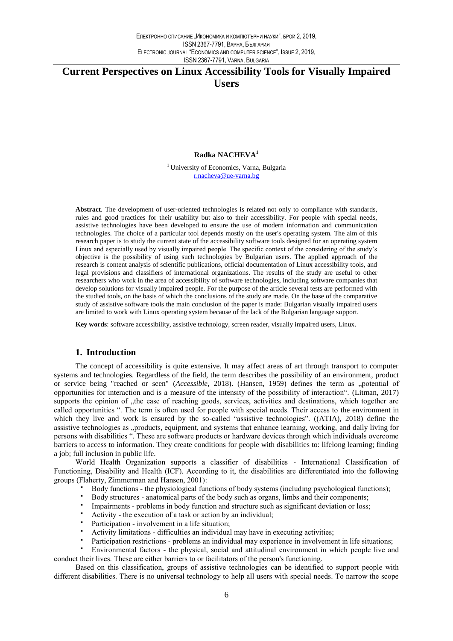# **Current Perspectives on Linux Accessibility Tools for Visually Impaired Users**

#### Radka NACHEVA<sup>1</sup>

<sup>1</sup> University of Economics, Varna, Bulgaria r.nacheva@ue-varna.bg

Abstract. The development of user-oriented technologies is related not only to compliance with standards, rules and good practices for their usability but also to their accessibility. For people with special needs, assistive technologies have been developed to ensure the use of modern information and communication technologies. The choice of a particular tool depends mostly on the user's operating system. The aim of this research paper is to study the current state of the accessibility software tools designed for an operating system Linux and especially used by visually impaired people. The specific context of the considering of the study's objective is the possibility of using such technologies by Bulgarian users. The applied approach of the research is content analysis of scientific publications, official documentation of Linux accessibility tools, and legal provisions and classifiers of international organizations. The results of the study are useful to other researchers who work in the area of accessibility of software technologies, including software companies that develop solutions for visually impaired people. For the purpose of the article several tests are performed with the studied tools, on the basis of which the conclusions of the study are made. On the base of the comparative study of assistive software tools the main conclusion of the paper is made: Bulgarian visually impaired users are limited to work with Linux operating system because of the lack of the Bulgarian language support.

Key words: software accessibility, assistive technology, screen reader, visually impaired users, Linux.

### 1. Introduction

The concept of accessibility is quite extensive. It may affect areas of art through transport to computer systems and technologies. Regardless of the field, the term describes the possibility of an environment, product or service being "reached or seen" (Accessible, 2018). (Hansen, 1959) defines the term as "potential of opportunities for interaction and is a measure of the intensity of the possibility of interaction". (Litman, 2017) supports the opinion of "the ease of reaching goods, services, activities and destinations, which together are called opportunities ". The term is often used for people with special needs. Their access to the environment in which they live and work is ensured by the so-called "assistive technologies". ((ATIA), 2018) define the assistive technologies as "products, equipment, and systems that enhance learning, working, and daily living for persons with disabilities ". These are software products or hardware devices through which individuals overcome barriers to access to information. They create conditions for people with disabilities to: lifelong learning; finding a job; full inclusion in public life.

World Health Organization supports a classifier of disabilities - International Classification of Functioning, Disability and Health (ICF). According to it, the disabilities are differentiated into the following groups (Flaherty, Zimmerman and Hansen, 2001):

- Body functions the physiological functions of body systems (including psychological functions);
- Body structures anatomical parts of the body such as organs, limbs and their components;
- Impairments problems in body function and structure such as significant deviation or loss;
- Activity the execution of a task or action by an individual;
- Participation involvement in a life situation;
- Activity limitations difficulties an individual may have in executing activities;
- Participation restrictions problems an individual may experience in involvement in life situations; Environmental factors - the physical, social and attitudinal environment in which people live and

conduct their lives. These are either barriers to or facilitators of the person's functioning.

Based on this classification, groups of assistive technologies can be identified to support people with different disabilities. There is no universal technology to help all users with special needs. To narrow the scope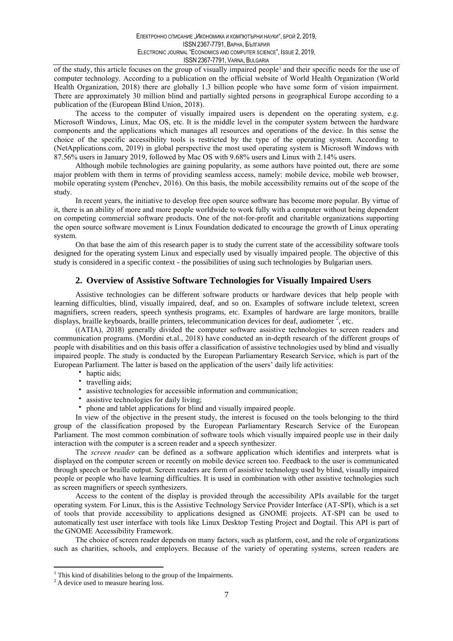of the study, this article focuses on the group of visually impaired people<sup>1</sup> and their specific needs for the use of computer technology. According to a publication on the official website of World Health Organization (World Health Organization, 2018) there are globally 1.3 billion people who have some form of vision impairment. There are approximately 30 million blind and partially sighted persons in geographical Europe according to a publication of the (European Blind Union, 2018).

The access to the computer of visually impaired users is dependent on the operating system, e.g. Microsoft Windows, Linux, Mac OS, etc. It is the middle level in the computer system between the hardware components and the applications which manages all resources and operations of the device. In this sense the choice of the specific accessibility tools is restricted by the type of the operating system. According to (NetApplications.com, 2019) in global perspective the most used operating system is Microsoft Windows with 87.56% users in January 2019, followed by Mac OS with 9.68% users and Linux with 2.14% users.

Although mobile technologies are gaining popularity, as some authors have pointed out, there are some major problem with them in terms of providing seamless access, namely: mobile device, mobile web browser, mobile operating system (Penchev, 2016). On this basis, the mobile accessibility remains out of the scope of the study.

In recent years, the initiative to develop free open source software has become more popular. By virtue of it, there is an ability of more and more people worldwide to work fully with a computer without being dependent on competing commercial software products. One of the not-for-profit and charitable organizations supporting the open source software movement is Linux Foundation dedicated to encourage the growth of Linux operating system.

On that base the aim of this research paper is to study the current state of the accessibility software tools designed for the operating system Linux and especially used by visually impaired people. The objective of this study is considered in a specific context - the possibilities of using such technologies by Bulgarian users.

# 2. Overview of Assistive Software Technologies for Visually Impaired Users

Assistive technologies can be different software products or hardware devices that help people with learning difficulties, blind, visually impaired, deaf, and so on. Examples of software include teletext, screen magnifiers, screen readers, speech synthesis programs, etc. Examples of hardware are large monitors, braille displays, braille keyboards, braille printers, telecommunication devices for deaf, audiometer<sup>2</sup>, etc.

((ATIA), 2018) generally divided the computer software assistive technologies to screen readers and communication programs. (Mordini et.al., 2018) have conducted an in-depth research of the different groups of people with disabilities and on this basis offer a classification of assistive technologies used by blind and visually impaired people. The study is conducted by the European Parliamentary Research Service, which is part of the European Parliament. The latter is based on the application of the users' daily life activities:

- haptic aids;
- travelling aids;
- \* assistive technologies for accessible information and communication;
- " assistive technologies for daily living;
- phone and tablet applications for blind and visually impaired people.

In view of the objective in the present study, the interest is focused on the tools belonging to the third group of the classification proposed by the European Parliamentary Research Service of the European Parliament. The most common combination of software tools which visually impaired people use in their daily interaction with the computer is a screen reader and a speech synthesizer.

The screen reader can be defined as a software application which identifies and interprets what is displayed on the computer screen or recently on mobile device screen too. Feedback to the user is communicated through speech or braille output. Screen readers are form of assistive technology used by blind, visually impaired people or people who have learning difficulties. It is used in combination with other assistive technologies such as screen magnifiers or speech synthesizers.

Access to the content of the display is provided through the accessibility APIs available for the target operating system. For Linux, this is the Assistive Technology Service Provider Interface (AT-SPI), which is a set of tools that provide accessibility to applications designed as GNOME projects. AT-SPI can be used to automatically test user interface with tools like Linux Desktop Testing Project and Dogtail. This API is part of the GNOME Accessibility Framework.

The choice of screen reader depends on many factors, such as platform, cost, and the role of organizations such as charities, schools, and employers. Because of the variety of operating systems, screen readers are

 $1$  This kind of disabilities belong to the group of the Impairments.

 $2A$  device used to measure hearing loss.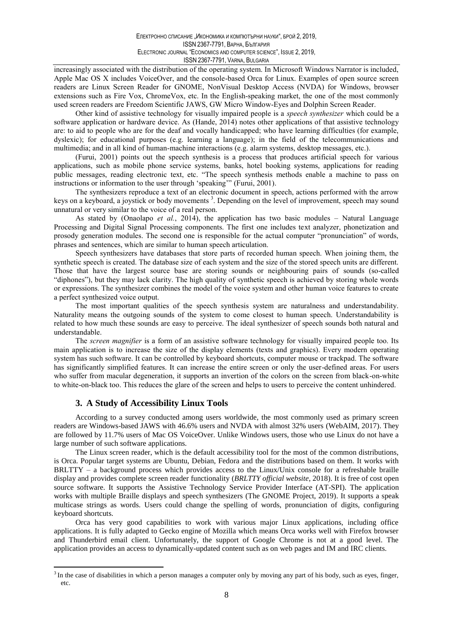increasingly associated with the distribution of the operating system. In Microsoft Windows Narrator is included, Apple Mac OS X includes VoiceOver, and the console-based Orca for Linux. Examples of open source screen readers are Linux Screen Reader for GNOME, NonVisual Desktop Access (NVDA) for Windows, browser extensions such as Fire Vox, ChromeVox, etc. In the English-speaking market, the one of the most commonly used screen readers are Freedom Scientific JAWS, GW Micro Window-Eyes and Dolphin Screen Reader.

Other kind of assistive technology for visually impaired people is a *speech synthesizer* which could be a software application or hardware device. As (Hande, 2014) notes other applications of that assistive technology are: to aid to people who are for the deaf and vocally handicapped; who have learning difficulties (for example, dyslexic); for educational purposes (e.g. learning a language); in the field of the telecommunications and multimedia; and in all kind of human-machine interactions (e.g. alarm systems, desktop messages, etc.).

(Furui, 2001) points out the speech synthesis is a process that produces artificial speech for various applications, such as mobile phone service systems, banks, hotel booking systems, applications for reading public messages, reading electronic text, etc. "The speech synthesis methods enable a machine to pass on instructions or information to the user through 'speaking'" (Furui, 2001).<br>The synthesizers reproduce a text of an electronic document in speech, actions performed with the arrow

keys on a keyboard, a joystick or body movements<sup>3</sup>. Depending on the level of improvement, speech may sound unnatural or very similar to the voice of a real person.

As stated by (Onaolapo *et al.*, 2014), the application has two basic modules  $-$  Natural Language Processing and Digital Signal Processing components. The first one includes text analyzer, phonetization and prosody generation modules. The second one is responsible for the actual computer "pronunciation" of words, phrases and sentences, which are similar to human speech articulation.

Speech synthesizers have databases that store parts of recorded human speech. When joining them, the synthetic speech is created. The database size of each system and the size of the stored speech units are different. Those that have the largest source base are storing sounds or neighbouring pairs of sounds (so-called "diphones"), but they may lack clarity. The high quality of synthetic speech is achieved by storing whole words or expressions. The synthesizer combines the model of the voice system and other human voice features to create a perfect synthesized voice output.

The most important qualities of the speech synthesis system are naturalness and understandability. Naturality means the outgoing sounds of the system to come closest to human speech. Understandability is related to how much these sounds are easy to perceive. The ideal synthesizer of speech sounds both natural and understandable.

The *screen magnifier* is a form of an assistive software technology for visually impaired people too. Its main application is to increase the size of the display elements (texts and graphics). Every modern operating system has such software. It can be controlled by keyboard shortcuts, computer mouse or trackpad. The software has significantly simplified features. It can increase the entire screen or only the user-defined areas. For users who suffer from macular degeneration, it supports an invertion of the colors on the screen from black-on-white to white-on-black too. This reduces the glare of the screen and helps to users to perceive the content unhindered.

# 3. A Study of Accessibility Linux Tools

According to a survey conducted among users worldwide, the most commonly used as primary screen readers are Windows-based JAWS with 46.6% users and NVDA with almost 32% users (WebAIM, 2017). They are followed by 11.7% users of Mac OS VoiceOver. Unlike Windows users, those who use Linux do not have a large number of such software applications.

The Linux screen reader, which is the default accessibility tool for the most of the common distributions, is Orca. Popular target systems are Ubuntu, Debian, Fedora and the distributions based on them. It works with BRLTTY – a background process which provides access to the Linux/Unix console for a refreshable braille display and provides complete screen reader functionality (BRLTTY official website, 2018). It is free of cost open source software. It supports the Assistive Technology Service Provider Interface (AT-SPI). The application works with multiple Braille displays and speech synthesizers (The GNOME Project, 2019). It supports a speak multicase strings as words. Users could change the spelling of words, pronunciation of digits, configuring keyboard shortcuts.

Orca has very good capabilities to work with various major Linux applications, including office applications. It is fully adapted to Gecko engine of Mozilla which means Orca works well with Firefox browser and Thunderbird email client. Unfortunately, the support of Google Chrome is not at a good level. The application provides an access to dynamically-updated content such as on web pages and IM and IRC clients.

 $3$  In the case of disabilities in which a person manages a computer only by moving any part of his body, such as eyes, finger, etc.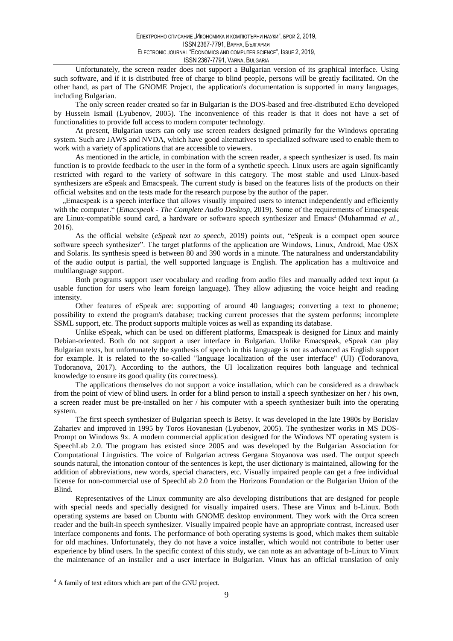Unfortunately, the screen reader does not support a Bulgarian version of its graphical interface. Using such software, and if it is distributed free of charge to blind people, persons will be greatly facilitated. On the other hand, as part of The GNOME Project, the application's documentation is supported in many languages, including Bulgarian.

The only screen reader created so far in Bulgarian is the DOS-based and free-distributed Echo developed by Hussein Ismail (Lyubenov, 2005). The inconvenience of this reader is that it does not have a set of functionalities to provide full access to modern computer technology.

At present, Bulgarian users can only use screen readers designed primarily for the Windows operating system. Such are JAWS and NVDA, which have good alternatives to specialized software used to enable them to work with a variety of applications that are accessible to viewers.

As mentioned in the article, in combination with the screen reader, a speech synthesizer is used. Its main function is to provide feedback to the user in the form of a synthetic speech. Linux users are again significantly restricted with regard to the variety of software in this category. The most stable and used Linux-based synthesizers are eSpeak and Emacspeak. The current study is based on the features lists of the products on their official websites and on the tests made for the research purpose by the author of the paper.

"Emacspeak is a speech interface that allows visually impaired users to interact independently and efficiently with the computer." (*Emacspeak - The Complete Audio Desktop*, 2019). Some of the requirements of Emacspeak are Linux-compatible sound card, a hardware or software speech synthesizer and Emacs<sup>4</sup> (Muhammad et al.,  $2016$ ).

As the official website (eSpeak text to speech, 2019) points out, "eSpeak is a compact open source software speech synthesizer". The target platforms of the application are Windows, Linux, Android, Mac OSX and Solaris. Its synthesis speed is between 80 and 390 words in a minute. The naturalness and understandability of the audio output is partial, the well supported language is English. The application has a multivoice and multilanguage support.

Both programs support user vocabulary and reading from audio files and manually added text input (a usable function for users who learn foreign language). They allow adjusting the voice height and reading intensity.

Other features of eSpeak are: supporting of around 40 languages; converting a text to phoneme; possibility to extend the program's database; tracking current processes that the system performs; incomplete SSML support, etc. The product supports multiple voices as well as expanding its database.

Unlike eSpeak, which can be used on different platforms, Emacspeak is designed for Linux and mainly Debian-oriented. Both do not support a user interface in Bulgarian. Unlike Emacspeak, eSpeak can play Bulgarian texts, but unfortunately the synthesis of speech in this language is not as advanced as English support for example. It is related to the so-called "language localization of the user interface" (UI) (Todoranova, Todoranova, 2017). According to the authors, the UI localization requires both language and technical knowledge to ensure its good quality (its correctness).

The applications themselves do not support a voice installation, which can be considered as a drawback from the point of view of blind users. In order for a blind person to install a speech synthesizer on her / his own, a screen reader must be pre-installed on her / his computer with a speech synthesizer built into the operating system.

The first speech synthesizer of Bulgarian speech is Betsy. It was developed in the late 1980s by Borislav Zahariev and improved in 1995 by Toros Hovanesian (Lyubenov, 2005). The synthesizer works in MS DOS-Prompt on Windows 9x. A modern commercial application designed for the Windows NT operating system is SpeechLab 2.0. The program has existed since 2005 and was developed by the Bulgarian Association for Computational Linguistics. The voice of Bulgarian actress Gergana Stoyanova was used. The output speech sounds natural, the intonation contour of the sentences is kept, the user dictionary is maintained, allowing for the addition of abbreviations, new words, special characters, etc. Visually impaired people can get a free individual license for non-commercial use of SpeechLab 2.0 from the Horizons Foundation or the Bulgarian Union of the Blind.

Representatives of the Linux community are also developing distributions that are designed for people with special needs and specially designed for visually impaired users. These are Vinux and b-Linux. Both operating systems are based on Ubuntu with GNOME desktop environment. They work with the Orca screen reader and the built-in speech synthesizer. Visually impaired people have an appropriate contrast, increased user interface components and fonts. The performance of both operating systems is good, which makes them suitable for old machines. Unfortunately, they do not have a voice installer, which would not contribute to better user experience by blind users. In the specific context of this study, we can note as an advantage of b-Linux to Vinux the maintenance of an installer and a user interface in Bulgarian. Vinux has an official translation of only

<sup>&</sup>lt;sup>4</sup> A family of text editors which are part of the GNU project.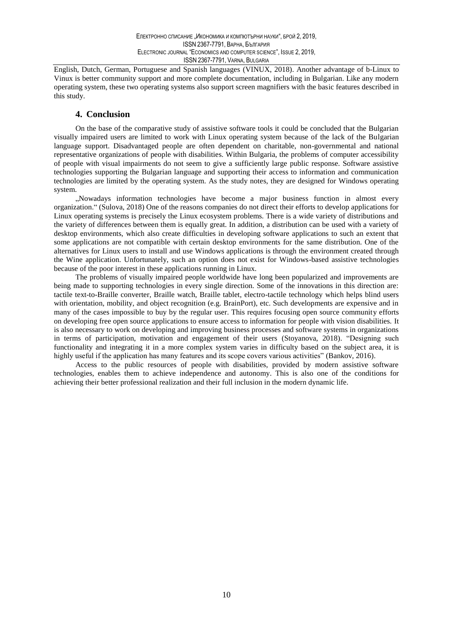English, Dutch, German, Portuguese and Spanish languages (VINUX, 2018). Another advantage of b-Linux to Vinux is better community support and more complete documentation, including in Bulgarian. Like any modern operating system, these two operating systems also support screen magnifiers with the basic features described in this study.

### 4. Conclusion

On the base of the comparative study of assistive software tools it could be concluded that the Bulgarian visually impaired users are limited to work with Linux operating system because of the lack of the Bulgarian language support. Disadvantaged people are often dependent on charitable, non-governmental and national representative organizations of people with disabilities. Within Bulgaria, the problems of computer accessibility of people with visual impairments do not seem to give a sufficiently large public response. Software assistive technologies supporting the Bulgarian language and supporting their access to information and communication technologies are limited by the operating system. As the study notes, they are designed for Windows operating system.

"Nowadays information technologies have become a major business function in almost every organization." (Sulova, 2018) One of the reasons companies do not direct their efforts to develop applications for Linux operating systems is precisely the Linux ecosystem problems. There is a wide variety of distributions and the variety of differences between them is equally great. In addition, a distribution can be used with a variety of desktop environments, which also create difficulties in developing software applications to such an extent that some applications are not compatible with certain desktop environments for the same distribution. One of the alternatives for Linux users to install and use Windows applications is through the environment created through the Wine application. Unfortunately, such an option does not exist for Windows-based assistive technologies because of the poor interest in these applications running in Linux.

The problems of visually impaired people worldwide have long been popularized and improvements are being made to supporting technologies in every single direction. Some of the innovations in this direction are: tactile text-to-Braille converter, Braille watch, Braille tablet, electro-tactile technology which helps blind users with orientation, mobility, and object recognition (e.g. BrainPort), etc. Such developments are expensive and in many of the cases impossible to buy by the regular user. This requires focusing open source community efforts on developing free open source applications to ensure access to information for people with vision disabilities. It is also necessary to work on developing and improving business processes and software systems in organizations in terms of participation, motivation and engagement of their users (Stoyanova, 2018). "Designing such functionality and integrating it in a more complex system varies in difficulty based on the subject area, it is highly useful if the application has many features and its scope covers various activities" (Bankov, 2016).

Access to the public resources of people with disabilities, provided by modern assistive software technologies, enables them to achieve independence and autonomy. This is also one of the conditions for achieving their better professional realization and their full inclusion in the modern dynamic life.